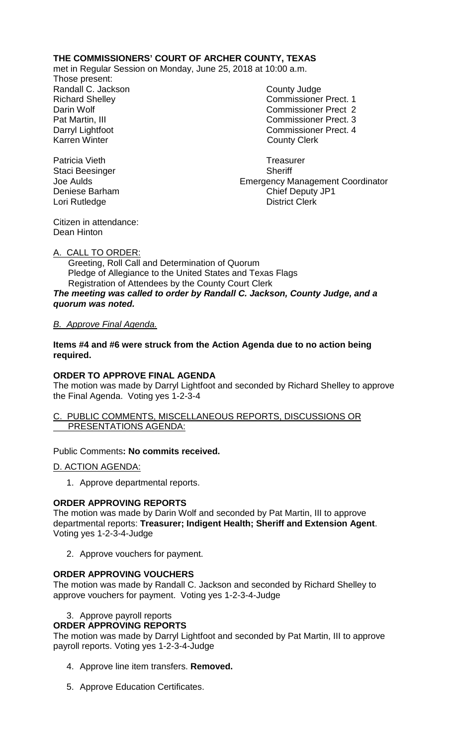# **THE COMMISSIONERS' COURT OF ARCHER COUNTY, TEXAS**

met in Regular Session on Monday, June 25, 2018 at 10:00 a.m.

Those present: Randall C. Jackson County Judge Karren Winter **County Clerk** 

Richard Shelley **Commissioner Prect. 1** Darin Wolf Commissioner Prect 2 Pat Martin, III Commissioner Prect. 3 Darryl Lightfoot Commissioner Prect. 4

Joe Aulds Emergency Management Coordinator Deniese Barham Chief Deputy JP1 Lori Rutledge **District Clerk** 

Patricia Vieth **Treasurer Treasurer** Staci Beesinger Sheriff

Citizen in attendance: Dean Hinton

## A. CALL TO ORDER:

 Greeting, Roll Call and Determination of Quorum Pledge of Allegiance to the United States and Texas Flags Registration of Attendees by the County Court Clerk *The meeting was called to order by Randall C. Jackson, County Judge, and a quorum was noted.*

## *B. Approve Final Agenda.*

**Items #4 and #6 were struck from the Action Agenda due to no action being required.**

## **ORDER TO APPROVE FINAL AGENDA**

The motion was made by Darryl Lightfoot and seconded by Richard Shelley to approve the Final Agenda. Voting yes 1-2-3-4

#### C. PUBLIC COMMENTS, MISCELLANEOUS REPORTS, DISCUSSIONS OR PRESENTATIONS AGENDA:

## Public Comments**: No commits received.**

D. ACTION AGENDA:

1. Approve departmental reports.

## **ORDER APPROVING REPORTS**

The motion was made by Darin Wolf and seconded by Pat Martin, III to approve departmental reports: **Treasurer; Indigent Health; Sheriff and Extension Agent**. Voting yes 1-2-3-4-Judge

2. Approve vouchers for payment.

## **ORDER APPROVING VOUCHERS**

The motion was made by Randall C. Jackson and seconded by Richard Shelley to approve vouchers for payment. Voting yes 1-2-3-4-Judge

## 3. Approve payroll reports

## **ORDER APPROVING REPORTS**

The motion was made by Darryl Lightfoot and seconded by Pat Martin, III to approve payroll reports. Voting yes 1-2-3-4-Judge

- 4. Approve line item transfers. **Removed.**
- 5. Approve Education Certificates.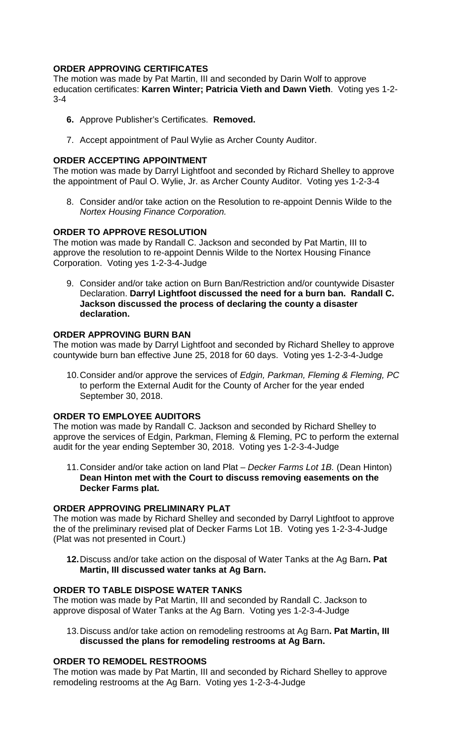# **ORDER APPROVING CERTIFICATES**

The motion was made by Pat Martin, III and seconded by Darin Wolf to approve education certificates: **Karren Winter; Patricia Vieth and Dawn Vieth**. Voting yes 1-2- 3-4

- **6.** Approve Publisher's Certificates. **Removed.**
- 7. Accept appointment of Paul Wylie as Archer County Auditor.

## **ORDER ACCEPTING APPOINTMENT**

The motion was made by Darryl Lightfoot and seconded by Richard Shelley to approve the appointment of Paul O. Wylie, Jr. as Archer County Auditor. Voting yes 1-2-3-4

8. Consider and/or take action on the Resolution to re-appoint Dennis Wilde to the *Nortex Housing Finance Corporation.*

## **ORDER TO APPROVE RESOLUTION**

The motion was made by Randall C. Jackson and seconded by Pat Martin, III to approve the resolution to re-appoint Dennis Wilde to the Nortex Housing Finance Corporation. Voting yes 1-2-3-4-Judge

9. Consider and/or take action on Burn Ban/Restriction and/or countywide Disaster Declaration. **Darryl Lightfoot discussed the need for a burn ban. Randall C. Jackson discussed the process of declaring the county a disaster declaration.**

## **ORDER APPROVING BURN BAN**

The motion was made by Darryl Lightfoot and seconded by Richard Shelley to approve countywide burn ban effective June 25, 2018 for 60 days. Voting yes 1-2-3-4-Judge

10.Consider and/or approve the services of *Edgin, Parkman, Fleming & Fleming, PC*  to perform the External Audit for the County of Archer for the year ended September 30, 2018.

## **ORDER TO EMPLOYEE AUDITORS**

The motion was made by Randall C. Jackson and seconded by Richard Shelley to approve the services of Edgin, Parkman, Fleming & Fleming, PC to perform the external audit for the year ending September 30, 2018. Voting yes 1-2-3-4-Judge

11.Consider and/or take action on land Plat – *Decker Farms Lot 1B.* (Dean Hinton) **Dean Hinton met with the Court to discuss removing easements on the Decker Farms plat.**

## **ORDER APPROVING PRELIMINARY PLAT**

The motion was made by Richard Shelley and seconded by Darryl Lightfoot to approve the of the preliminary revised plat of Decker Farms Lot 1B. Voting yes 1-2-3-4-Judge (Plat was not presented in Court.)

**12.**Discuss and/or take action on the disposal of Water Tanks at the Ag Barn**. Pat Martin, III discussed water tanks at Ag Barn.** 

## **ORDER TO TABLE DISPOSE WATER TANKS**

The motion was made by Pat Martin, III and seconded by Randall C. Jackson to approve disposal of Water Tanks at the Ag Barn. Voting yes 1-2-3-4-Judge

13.Discuss and/or take action on remodeling restrooms at Ag Barn**. Pat Martin, III discussed the plans for remodeling restrooms at Ag Barn.**

## **ORDER TO REMODEL RESTROOMS**

The motion was made by Pat Martin, III and seconded by Richard Shelley to approve remodeling restrooms at the Ag Barn. Voting yes 1-2-3-4-Judge